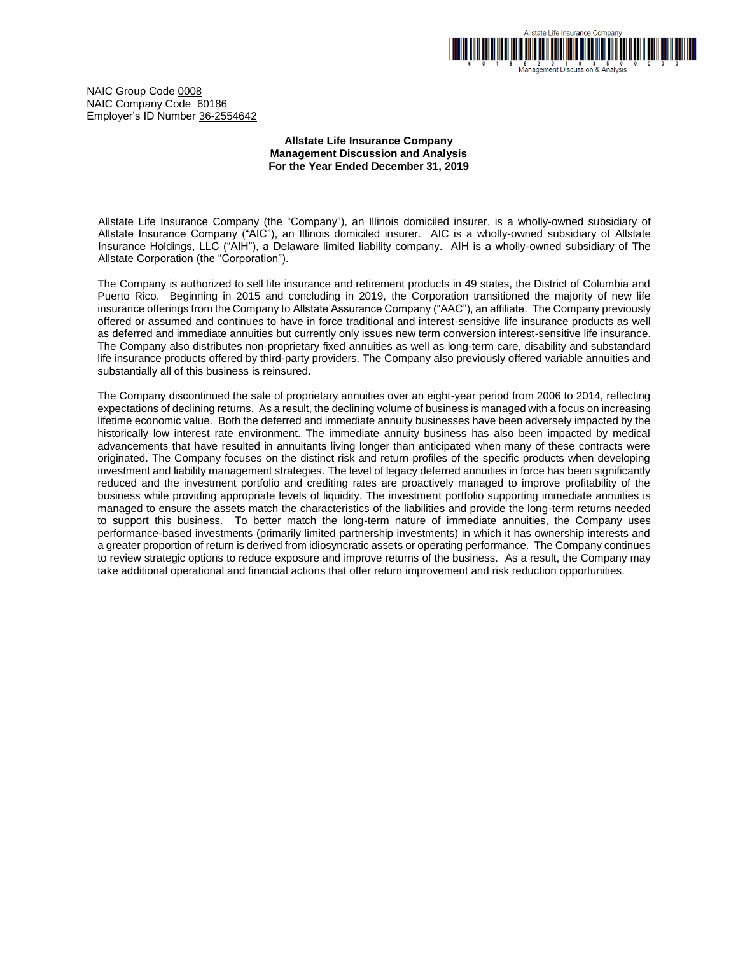

NAIC Group Code 0008 NAIC Company Code 60186 Employer's ID Number 36-2554642

## **Allstate Life Insurance Company Management Discussion and Analysis For the Year Ended December 31, 2019**

Allstate Life Insurance Company (the "Company"), an Illinois domiciled insurer, is a wholly-owned subsidiary of Allstate Insurance Company ("AIC"), an Illinois domiciled insurer. AIC is a wholly-owned subsidiary of Allstate Insurance Holdings, LLC ("AIH"), a Delaware limited liability company. AIH is a wholly-owned subsidiary of The Allstate Corporation (the "Corporation").

The Company is authorized to sell life insurance and retirement products in 49 states, the District of Columbia and Puerto Rico. Beginning in 2015 and concluding in 2019, the Corporation transitioned the majority of new life insurance offerings from the Company to Allstate Assurance Company ("AAC"), an affiliate. The Company previously offered or assumed and continues to have in force traditional and interest-sensitive life insurance products as well as deferred and immediate annuities but currently only issues new term conversion interest-sensitive life insurance. The Company also distributes non-proprietary fixed annuities as well as long-term care, disability and substandard life insurance products offered by third-party providers. The Company also previously offered variable annuities and substantially all of this business is reinsured.

The Company discontinued the sale of proprietary annuities over an eight-year period from 2006 to 2014, reflecting expectations of declining returns. As a result, the declining volume of business is managed with a focus on increasing lifetime economic value. Both the deferred and immediate annuity businesses have been adversely impacted by the historically low interest rate environment. The immediate annuity business has also been impacted by medical advancements that have resulted in annuitants living longer than anticipated when many of these contracts were originated. The Company focuses on the distinct risk and return profiles of the specific products when developing investment and liability management strategies. The level of legacy deferred annuities in force has been significantly reduced and the investment portfolio and crediting rates are proactively managed to improve profitability of the business while providing appropriate levels of liquidity. The investment portfolio supporting immediate annuities is managed to ensure the assets match the characteristics of the liabilities and provide the long-term returns needed to support this business. To better match the long-term nature of immediate annuities, the Company uses performance-based investments (primarily limited partnership investments) in which it has ownership interests and a greater proportion of return is derived from idiosyncratic assets or operating performance. The Company continues to review strategic options to reduce exposure and improve returns of the business. As a result, the Company may take additional operational and financial actions that offer return improvement and risk reduction opportunities.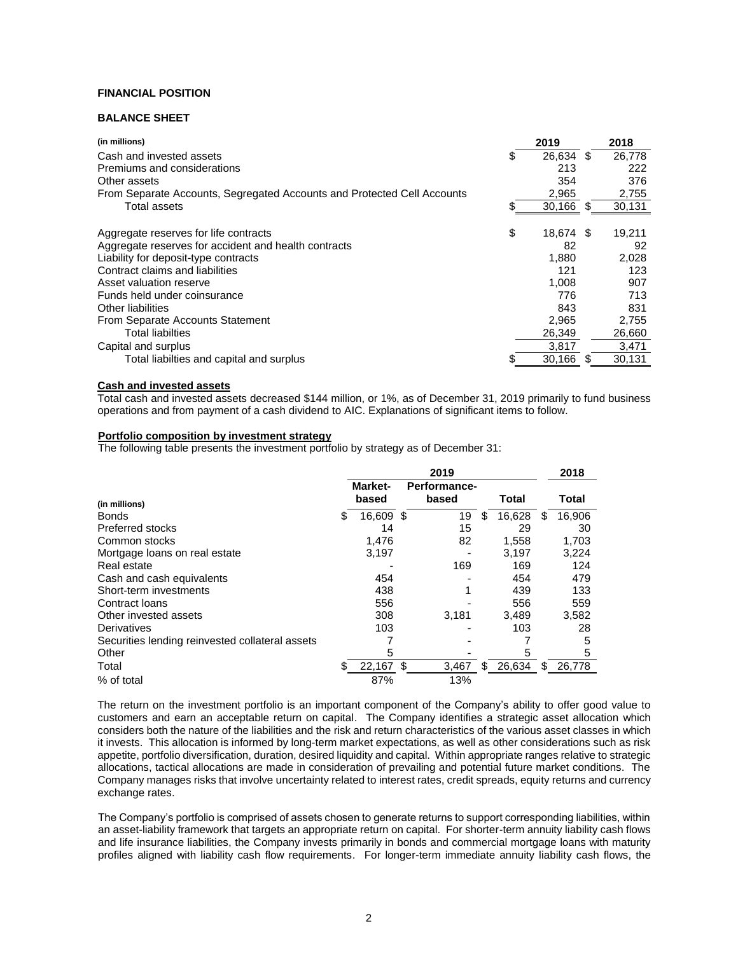# **FINANCIAL POSITION**

# **BALANCE SHEET**

| (in millions)                                                           |    | 2019      |    | 2018   |
|-------------------------------------------------------------------------|----|-----------|----|--------|
| Cash and invested assets                                                | S  | 26,634 \$ |    | 26.778 |
| Premiums and considerations                                             |    | 213       |    | 222    |
| Other assets                                                            |    | 354       |    | 376    |
| From Separate Accounts, Segregated Accounts and Protected Cell Accounts |    | 2,965     |    | 2,755  |
| Total assets                                                            | S  | 30,166    | S  | 30,131 |
| Aggregate reserves for life contracts                                   | \$ | 18,674 \$ |    | 19,211 |
| Aggregate reserves for accident and health contracts                    |    | 82        |    | 92     |
| Liability for deposit-type contracts                                    |    | 1,880     |    | 2.028  |
| Contract claims and liabilities                                         |    | 121       |    | 123    |
| Asset valuation reserve                                                 |    | 1.008     |    | 907    |
| Funds held under coinsurance                                            |    | 776       |    | 713    |
| Other liabilities                                                       |    | 843       |    | 831    |
| From Separate Accounts Statement                                        |    | 2.965     |    | 2,755  |
| Total liabilties                                                        |    | 26,349    |    | 26,660 |
| Capital and surplus                                                     |    | 3.817     |    | 3,471  |
| Total liabilties and capital and surplus                                |    | 30,166    | \$ | 30,131 |

# **Cash and invested assets**

Total cash and invested assets decreased \$144 million, or 1%, as of December 31, 2019 primarily to fund business operations and from payment of a cash dividend to AIC. Explanations of significant items to follow.

# **Portfolio composition by investment strategy**

The following table presents the investment portfolio by strategy as of December 31:

|                                                 | 2019 |                  |    |                       |    | 2018   |   |        |
|-------------------------------------------------|------|------------------|----|-----------------------|----|--------|---|--------|
| (in millions)                                   |      | Market-<br>based |    | Performance-<br>based |    | Total  |   | Total  |
| <b>Bonds</b>                                    | S    | 16.609 \$        |    | 19                    | \$ | 16,628 | S | 16,906 |
| Preferred stocks                                |      | 14               |    | 15                    |    | 29     |   | 30     |
| Common stocks                                   |      | 1.476            |    | 82                    |    | 1,558  |   | 1.703  |
| Mortgage loans on real estate                   |      | 3,197            |    |                       |    | 3,197  |   | 3,224  |
| Real estate                                     |      |                  |    | 169                   |    | 169    |   | 124    |
| Cash and cash equivalents                       |      | 454              |    |                       |    | 454    |   | 479    |
| Short-term investments                          |      | 438              |    |                       |    | 439    |   | 133    |
| Contract Ioans                                  |      | 556              |    |                       |    | 556    |   | 559    |
| Other invested assets                           |      | 308              |    | 3,181                 |    | 3,489  |   | 3,582  |
| Derivatives                                     |      | 103              |    |                       |    | 103    |   | 28     |
| Securities lending reinvested collateral assets |      |                  |    |                       |    |        |   | 5      |
| Other                                           |      | 5                |    |                       |    | 5      |   | 5      |
| Total                                           |      | 22,167           | \$ | 3,467                 | SS | 26,634 | S | 26,778 |
| % of total                                      |      | 87%              |    | 13%                   |    |        |   |        |

The return on the investment portfolio is an important component of the Company's ability to offer good value to customers and earn an acceptable return on capital. The Company identifies a strategic asset allocation which considers both the nature of the liabilities and the risk and return characteristics of the various asset classes in which it invests. This allocation is informed by long-term market expectations, as well as other considerations such as risk appetite, portfolio diversification, duration, desired liquidity and capital. Within appropriate ranges relative to strategic allocations, tactical allocations are made in consideration of prevailing and potential future market conditions. The Company manages risks that involve uncertainty related to interest rates, credit spreads, equity returns and currency exchange rates.

The Company's portfolio is comprised of assets chosen to generate returns to support corresponding liabilities, within an asset-liability framework that targets an appropriate return on capital. For shorter-term annuity liability cash flows and life insurance liabilities, the Company invests primarily in bonds and commercial mortgage loans with maturity profiles aligned with liability cash flow requirements. For longer-term immediate annuity liability cash flows, the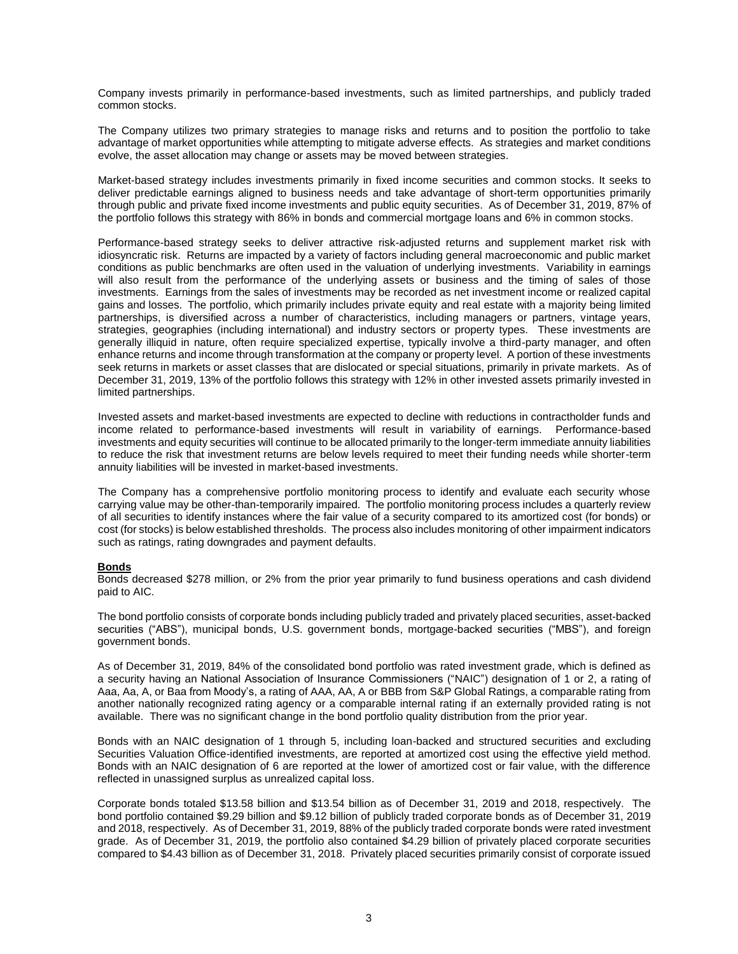Company invests primarily in performance-based investments, such as limited partnerships, and publicly traded common stocks.

The Company utilizes two primary strategies to manage risks and returns and to position the portfolio to take advantage of market opportunities while attempting to mitigate adverse effects. As strategies and market conditions evolve, the asset allocation may change or assets may be moved between strategies.

Market-based strategy includes investments primarily in fixed income securities and common stocks. It seeks to deliver predictable earnings aligned to business needs and take advantage of short-term opportunities primarily through public and private fixed income investments and public equity securities. As of December 31, 2019, 87% of the portfolio follows this strategy with 86% in bonds and commercial mortgage loans and 6% in common stocks.

Performance-based strategy seeks to deliver attractive risk-adjusted returns and supplement market risk with idiosyncratic risk. Returns are impacted by a variety of factors including general macroeconomic and public market conditions as public benchmarks are often used in the valuation of underlying investments. Variability in earnings will also result from the performance of the underlying assets or business and the timing of sales of those investments. Earnings from the sales of investments may be recorded as net investment income or realized capital gains and losses. The portfolio, which primarily includes private equity and real estate with a majority being limited partnerships, is diversified across a number of characteristics, including managers or partners, vintage years, strategies, geographies (including international) and industry sectors or property types. These investments are generally illiquid in nature, often require specialized expertise, typically involve a third-party manager, and often enhance returns and income through transformation at the company or property level. A portion of these investments seek returns in markets or asset classes that are dislocated or special situations, primarily in private markets. As of December 31, 2019, 13% of the portfolio follows this strategy with 12% in other invested assets primarily invested in limited partnerships.

Invested assets and market-based investments are expected to decline with reductions in contractholder funds and income related to performance-based investments will result in variability of earnings. Performance-based investments and equity securities will continue to be allocated primarily to the longer-term immediate annuity liabilities to reduce the risk that investment returns are below levels required to meet their funding needs while shorter-term annuity liabilities will be invested in market-based investments.

The Company has a comprehensive portfolio monitoring process to identify and evaluate each security whose carrying value may be other-than-temporarily impaired. The portfolio monitoring process includes a quarterly review of all securities to identify instances where the fair value of a security compared to its amortized cost (for bonds) or cost (for stocks) is below established thresholds. The process also includes monitoring of other impairment indicators such as ratings, rating downgrades and payment defaults.

# **Bonds**

Bonds decreased \$278 million, or 2% from the prior year primarily to fund business operations and cash dividend paid to AIC.

The bond portfolio consists of corporate bonds including publicly traded and privately placed securities, asset-backed securities ("ABS"), municipal bonds, U.S. government bonds, mortgage-backed securities ("MBS"), and foreign government bonds.

As of December 31, 2019, 84% of the consolidated bond portfolio was rated investment grade, which is defined as a security having an National Association of Insurance Commissioners ("NAIC") designation of 1 or 2, a rating of Aaa, Aa, A, or Baa from Moody's, a rating of AAA, AA, A or BBB from S&P Global Ratings, a comparable rating from another nationally recognized rating agency or a comparable internal rating if an externally provided rating is not available. There was no significant change in the bond portfolio quality distribution from the prior year.

Bonds with an NAIC designation of 1 through 5, including loan-backed and structured securities and excluding Securities Valuation Office-identified investments, are reported at amortized cost using the effective yield method. Bonds with an NAIC designation of 6 are reported at the lower of amortized cost or fair value, with the difference reflected in unassigned surplus as unrealized capital loss.

Corporate bonds totaled \$13.58 billion and \$13.54 billion as of December 31, 2019 and 2018, respectively. The bond portfolio contained \$9.29 billion and \$9.12 billion of publicly traded corporate bonds as of December 31, 2019 and 2018, respectively. As of December 31, 2019, 88% of the publicly traded corporate bonds were rated investment grade. As of December 31, 2019, the portfolio also contained \$4.29 billion of privately placed corporate securities compared to \$4.43 billion as of December 31, 2018. Privately placed securities primarily consist of corporate issued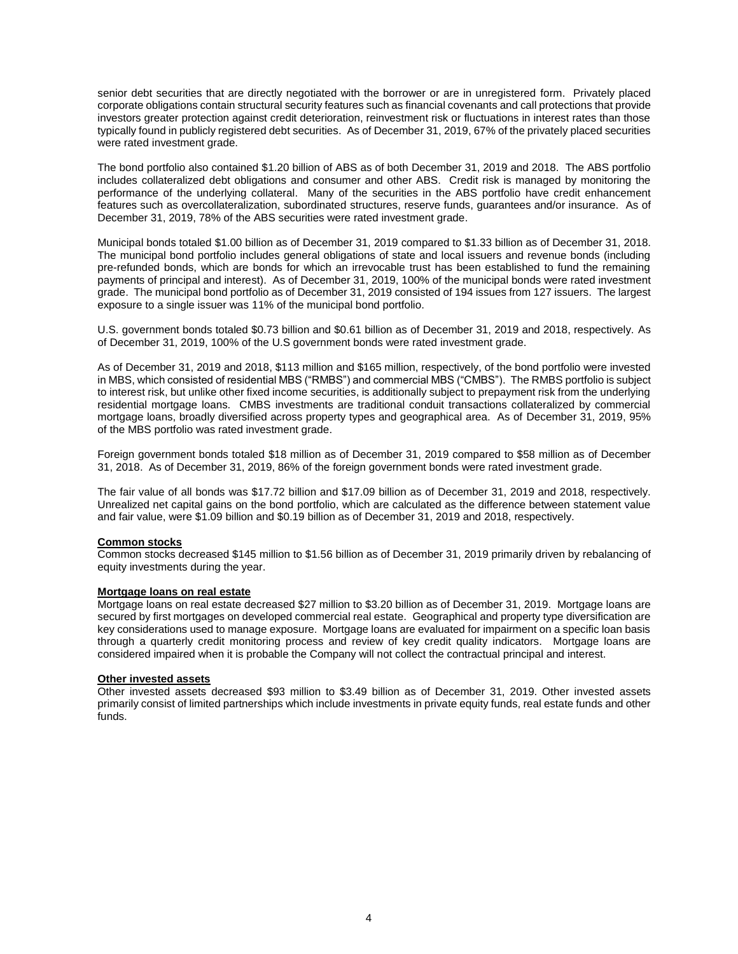senior debt securities that are directly negotiated with the borrower or are in unregistered form. Privately placed corporate obligations contain structural security features such as financial covenants and call protections that provide investors greater protection against credit deterioration, reinvestment risk or fluctuations in interest rates than those typically found in publicly registered debt securities. As of December 31, 2019, 67% of the privately placed securities were rated investment grade.

The bond portfolio also contained \$1.20 billion of ABS as of both December 31, 2019 and 2018. The ABS portfolio includes collateralized debt obligations and consumer and other ABS. Credit risk is managed by monitoring the performance of the underlying collateral. Many of the securities in the ABS portfolio have credit enhancement features such as overcollateralization, subordinated structures, reserve funds, guarantees and/or insurance. As of December 31, 2019, 78% of the ABS securities were rated investment grade.

Municipal bonds totaled \$1.00 billion as of December 31, 2019 compared to \$1.33 billion as of December 31, 2018. The municipal bond portfolio includes general obligations of state and local issuers and revenue bonds (including pre-refunded bonds, which are bonds for which an irrevocable trust has been established to fund the remaining payments of principal and interest). As of December 31, 2019, 100% of the municipal bonds were rated investment grade. The municipal bond portfolio as of December 31, 2019 consisted of 194 issues from 127 issuers. The largest exposure to a single issuer was 11% of the municipal bond portfolio.

U.S. government bonds totaled \$0.73 billion and \$0.61 billion as of December 31, 2019 and 2018, respectively. As of December 31, 2019, 100% of the U.S government bonds were rated investment grade.

As of December 31, 2019 and 2018, \$113 million and \$165 million, respectively, of the bond portfolio were invested in MBS, which consisted of residential MBS ("RMBS") and commercial MBS ("CMBS"). The RMBS portfolio is subject to interest risk, but unlike other fixed income securities, is additionally subject to prepayment risk from the underlying residential mortgage loans. CMBS investments are traditional conduit transactions collateralized by commercial mortgage loans, broadly diversified across property types and geographical area. As of December 31, 2019, 95% of the MBS portfolio was rated investment grade.

Foreign government bonds totaled \$18 million as of December 31, 2019 compared to \$58 million as of December 31, 2018. As of December 31, 2019, 86% of the foreign government bonds were rated investment grade.

The fair value of all bonds was \$17.72 billion and \$17.09 billion as of December 31, 2019 and 2018, respectively. Unrealized net capital gains on the bond portfolio, which are calculated as the difference between statement value and fair value, were \$1.09 billion and \$0.19 billion as of December 31, 2019 and 2018, respectively.

### **Common stocks**

Common stocks decreased \$145 million to \$1.56 billion as of December 31, 2019 primarily driven by rebalancing of equity investments during the year.

### **Mortgage loans on real estate**

Mortgage loans on real estate decreased \$27 million to \$3.20 billion as of December 31, 2019. Mortgage loans are secured by first mortgages on developed commercial real estate. Geographical and property type diversification are key considerations used to manage exposure. Mortgage loans are evaluated for impairment on a specific loan basis through a quarterly credit monitoring process and review of key credit quality indicators. Mortgage loans are considered impaired when it is probable the Company will not collect the contractual principal and interest.

#### **Other invested assets**

Other invested assets decreased \$93 million to \$3.49 billion as of December 31, 2019. Other invested assets primarily consist of limited partnerships which include investments in private equity funds, real estate funds and other funds.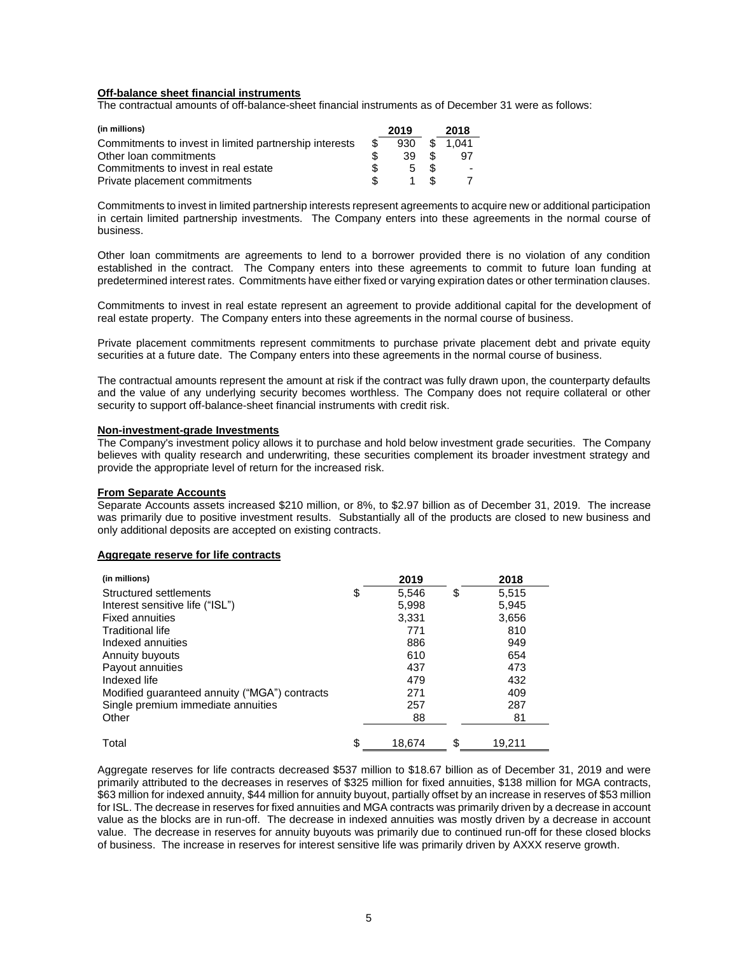## **Off-balance sheet financial instruments**

The contractual amounts of off-balance-sheet financial instruments as of December 31 were as follows:

| (in millions)                                          |     | 2019  |     | 2018  |
|--------------------------------------------------------|-----|-------|-----|-------|
| Commitments to invest in limited partnership interests | -SS | 930   | \$. | 1.041 |
| Other loan commitments                                 |     | 39    | .S  | 97    |
| Commitments to invest in real estate                   |     | $5 -$ | -SS |       |
| Private placement commitments                          |     |       | .S  |       |

Commitments to invest in limited partnership interests represent agreements to acquire new or additional participation in certain limited partnership investments. The Company enters into these agreements in the normal course of business.

Other loan commitments are agreements to lend to a borrower provided there is no violation of any condition established in the contract. The Company enters into these agreements to commit to future loan funding at predetermined interest rates. Commitments have either fixed or varying expiration dates or other termination clauses.

Commitments to invest in real estate represent an agreement to provide additional capital for the development of real estate property. The Company enters into these agreements in the normal course of business.

Private placement commitments represent commitments to purchase private placement debt and private equity securities at a future date. The Company enters into these agreements in the normal course of business.

The contractual amounts represent the amount at risk if the contract was fully drawn upon, the counterparty defaults and the value of any underlying security becomes worthless. The Company does not require collateral or other security to support off-balance-sheet financial instruments with credit risk.

## **Non-investment-grade Investments**

The Company's investment policy allows it to purchase and hold below investment grade securities. The Company believes with quality research and underwriting, these securities complement its broader investment strategy and provide the appropriate level of return for the increased risk.

## **From Separate Accounts**

Separate Accounts assets increased \$210 million, or 8%, to \$2.97 billion as of December 31, 2019. The increase was primarily due to positive investment results. Substantially all of the products are closed to new business and only additional deposits are accepted on existing contracts.

## **Aggregate reserve for life contracts**

| (in millions)                                 | 2019         | 2018         |
|-----------------------------------------------|--------------|--------------|
| Structured settlements                        | \$<br>5,546  | \$<br>5,515  |
| Interest sensitive life ("ISL")               | 5,998        | 5,945        |
| <b>Fixed annuities</b>                        | 3,331        | 3,656        |
| <b>Traditional life</b>                       | 771          | 810          |
| Indexed annuities                             | 886          | 949          |
| Annuity buyouts                               | 610          | 654          |
| Payout annuities                              | 437          | 473          |
| Indexed life                                  | 479          | 432          |
| Modified guaranteed annuity ("MGA") contracts | 271          | 409          |
| Single premium immediate annuities            | 257          | 287          |
| Other                                         | 88           | 81           |
| Total                                         | \$<br>18.674 | \$<br>19,211 |

Aggregate reserves for life contracts decreased \$537 million to \$18.67 billion as of December 31, 2019 and were primarily attributed to the decreases in reserves of \$325 million for fixed annuities, \$138 million for MGA contracts, \$63 million for indexed annuity, \$44 million for annuity buyout, partially offset by an increase in reserves of \$53 million for ISL. The decrease in reserves for fixed annuities and MGA contracts was primarily driven by a decrease in account value as the blocks are in run-off. The decrease in indexed annuities was mostly driven by a decrease in account value. The decrease in reserves for annuity buyouts was primarily due to continued run-off for these closed blocks of business. The increase in reserves for interest sensitive life was primarily driven by AXXX reserve growth.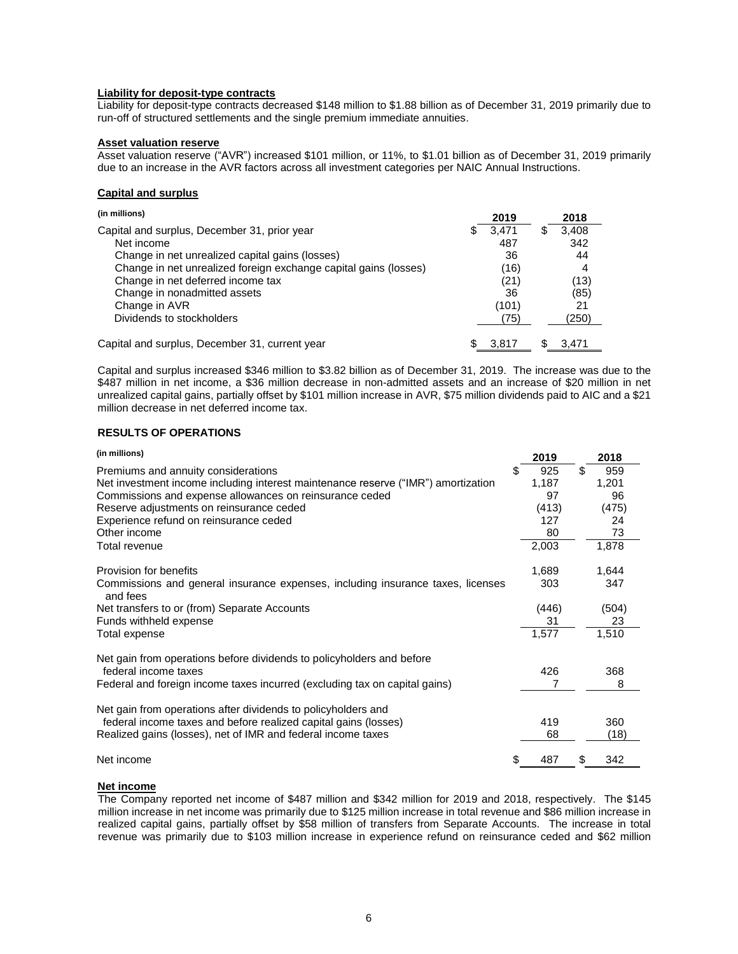## **Liability for deposit-type contracts**

Liability for deposit-type contracts decreased \$148 million to \$1.88 billion as of December 31, 2019 primarily due to run-off of structured settlements and the single premium immediate annuities.

### **Asset valuation reserve**

Asset valuation reserve ("AVR") increased \$101 million, or 11%, to \$1.01 billion as of December 31, 2019 primarily due to an increase in the AVR factors across all investment categories per NAIC Annual Instructions.

## **Capital and surplus**

| (in millions)                                                    |    | 2019  |   | 2018  |
|------------------------------------------------------------------|----|-------|---|-------|
| Capital and surplus, December 31, prior year                     | SS | 3.471 | æ | 3.408 |
| Net income                                                       |    | 487   |   | 342   |
| Change in net unrealized capital gains (losses)                  |    | 36    |   | 44    |
| Change in net unrealized foreign exchange capital gains (losses) |    | (16)  |   | 4     |
| Change in net deferred income tax                                |    | (21)  |   | (13)  |
| Change in nonadmitted assets                                     |    | 36    |   | (85)  |
| Change in AVR                                                    |    | (101) |   | 21    |
| Dividends to stockholders                                        |    | (75)  |   | (250) |
| Capital and surplus, December 31, current year                   |    | 3.817 |   | 3.471 |

Capital and surplus increased \$346 million to \$3.82 billion as of December 31, 2019. The increase was due to the \$487 million in net income, a \$36 million decrease in non-admitted assets and an increase of \$20 million in net unrealized capital gains, partially offset by \$101 million increase in AVR, \$75 million dividends paid to AIC and a \$21 million decrease in net deferred income tax.

## **RESULTS OF OPERATIONS**

| (in millions)                                                                               |    | 2019  |    | 2018  |
|---------------------------------------------------------------------------------------------|----|-------|----|-------|
| Premiums and annuity considerations                                                         | S  | 925   | \$ | 959   |
| Net investment income including interest maintenance reserve ("IMR") amortization           |    | 1,187 |    | 1,201 |
| Commissions and expense allowances on reinsurance ceded                                     |    | 97    |    | 96    |
| Reserve adjustments on reinsurance ceded                                                    |    | (413) |    | (475) |
| Experience refund on reinsurance ceded                                                      |    | 127   |    | 24    |
| Other income                                                                                |    | 80    |    | 73    |
| Total revenue                                                                               |    | 2,003 |    | 1,878 |
| Provision for benefits                                                                      |    | 1,689 |    | 1,644 |
| Commissions and general insurance expenses, including insurance taxes, licenses<br>and fees |    | 303   |    | 347   |
| Net transfers to or (from) Separate Accounts                                                |    | (446) |    | (504) |
| Funds withheld expense                                                                      |    | 31    |    | 23    |
| Total expense                                                                               |    | 1,577 |    | 1,510 |
| Net gain from operations before dividends to policyholders and before                       |    |       |    |       |
| federal income taxes                                                                        |    | 426   |    | 368   |
| Federal and foreign income taxes incurred (excluding tax on capital gains)                  |    |       |    | 8     |
| Net gain from operations after dividends to policyholders and                               |    |       |    |       |
| federal income taxes and before realized capital gains (losses)                             |    | 419   |    | 360   |
| Realized gains (losses), net of IMR and federal income taxes                                |    | 68    |    | (18)  |
| Net income                                                                                  | \$ | 487   | S  | 342   |

# **Net income**

The Company reported net income of \$487 million and \$342 million for 2019 and 2018, respectively. The \$145 million increase in net income was primarily due to \$125 million increase in total revenue and \$86 million increase in realized capital gains, partially offset by \$58 million of transfers from Separate Accounts. The increase in total revenue was primarily due to \$103 million increase in experience refund on reinsurance ceded and \$62 million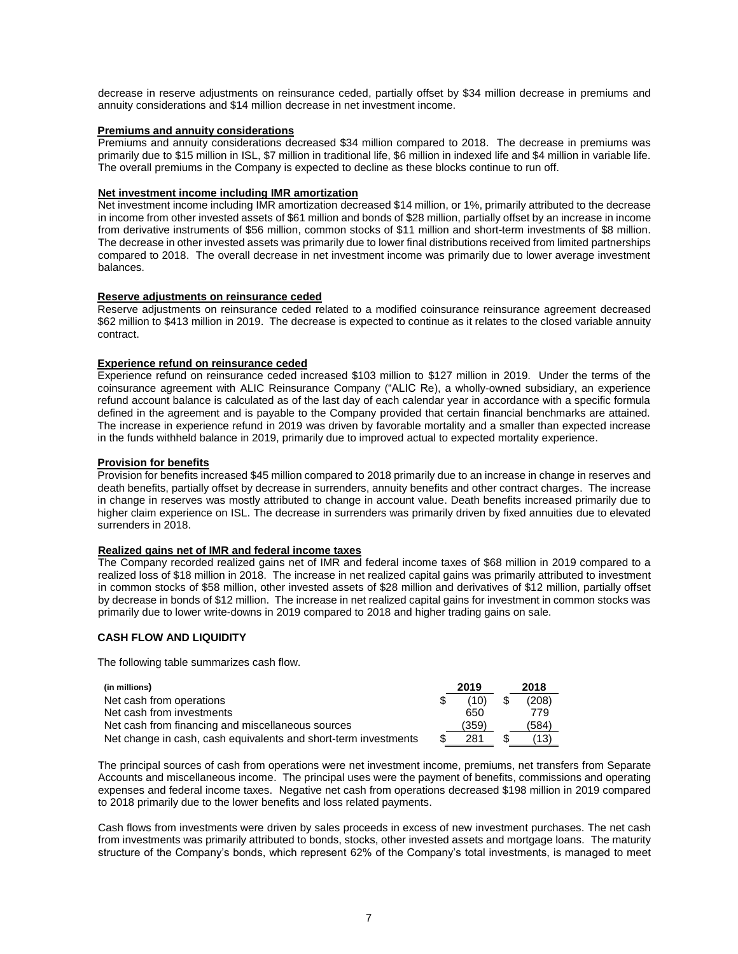decrease in reserve adjustments on reinsurance ceded, partially offset by \$34 million decrease in premiums and annuity considerations and \$14 million decrease in net investment income.

### **Premiums and annuity considerations**

Premiums and annuity considerations decreased \$34 million compared to 2018. The decrease in premiums was primarily due to \$15 million in ISL, \$7 million in traditional life, \$6 million in indexed life and \$4 million in variable life. The overall premiums in the Company is expected to decline as these blocks continue to run off.

## **Net investment income including IMR amortization**

Net investment income including IMR amortization decreased \$14 million, or 1%, primarily attributed to the decrease in income from other invested assets of \$61 million and bonds of \$28 million, partially offset by an increase in income from derivative instruments of \$56 million, common stocks of \$11 million and short-term investments of \$8 million. The decrease in other invested assets was primarily due to lower final distributions received from limited partnerships compared to 2018. The overall decrease in net investment income was primarily due to lower average investment balances.

# **Reserve adjustments on reinsurance ceded**

Reserve adjustments on reinsurance ceded related to a modified coinsurance reinsurance agreement decreased \$62 million to \$413 million in 2019. The decrease is expected to continue as it relates to the closed variable annuity contract.

# **Experience refund on reinsurance ceded**

Experience refund on reinsurance ceded increased \$103 million to \$127 million in 2019. Under the terms of the coinsurance agreement with ALIC Reinsurance Company ("ALIC Re), a wholly-owned subsidiary, an experience refund account balance is calculated as of the last day of each calendar year in accordance with a specific formula defined in the agreement and is payable to the Company provided that certain financial benchmarks are attained. The increase in experience refund in 2019 was driven by favorable mortality and a smaller than expected increase in the funds withheld balance in 2019, primarily due to improved actual to expected mortality experience.

## **Provision for benefits**

Provision for benefits increased \$45 million compared to 2018 primarily due to an increase in change in reserves and death benefits, partially offset by decrease in surrenders, annuity benefits and other contract charges. The increase in change in reserves was mostly attributed to change in account value. Death benefits increased primarily due to higher claim experience on ISL. The decrease in surrenders was primarily driven by fixed annuities due to elevated surrenders in 2018.

# **Realized gains net of IMR and federal income taxes**

The Company recorded realized gains net of IMR and federal income taxes of \$68 million in 2019 compared to a realized loss of \$18 million in 2018. The increase in net realized capital gains was primarily attributed to investment in common stocks of \$58 million, other invested assets of \$28 million and derivatives of \$12 million, partially offset by decrease in bonds of \$12 million. The increase in net realized capital gains for investment in common stocks was primarily due to lower write-downs in 2019 compared to 2018 and higher trading gains on sale.

# **CASH FLOW AND LIQUIDITY**

The following table summarizes cash flow.

| (in millions)                                                   | 2019  | 2018  |
|-----------------------------------------------------------------|-------|-------|
| Net cash from operations                                        | (10)  | (208) |
| Net cash from investments                                       | 650   | 779   |
| Net cash from financing and miscellaneous sources               | (359) | (584) |
| Net change in cash, cash equivalents and short-term investments | 281   | (13)  |

The principal sources of cash from operations were net investment income, premiums, net transfers from Separate Accounts and miscellaneous income. The principal uses were the payment of benefits, commissions and operating expenses and federal income taxes. Negative net cash from operations decreased \$198 million in 2019 compared to 2018 primarily due to the lower benefits and loss related payments.

Cash flows from investments were driven by sales proceeds in excess of new investment purchases. The net cash from investments was primarily attributed to bonds, stocks, other invested assets and mortgage loans. The maturity structure of the Company's bonds, which represent 62% of the Company's total investments, is managed to meet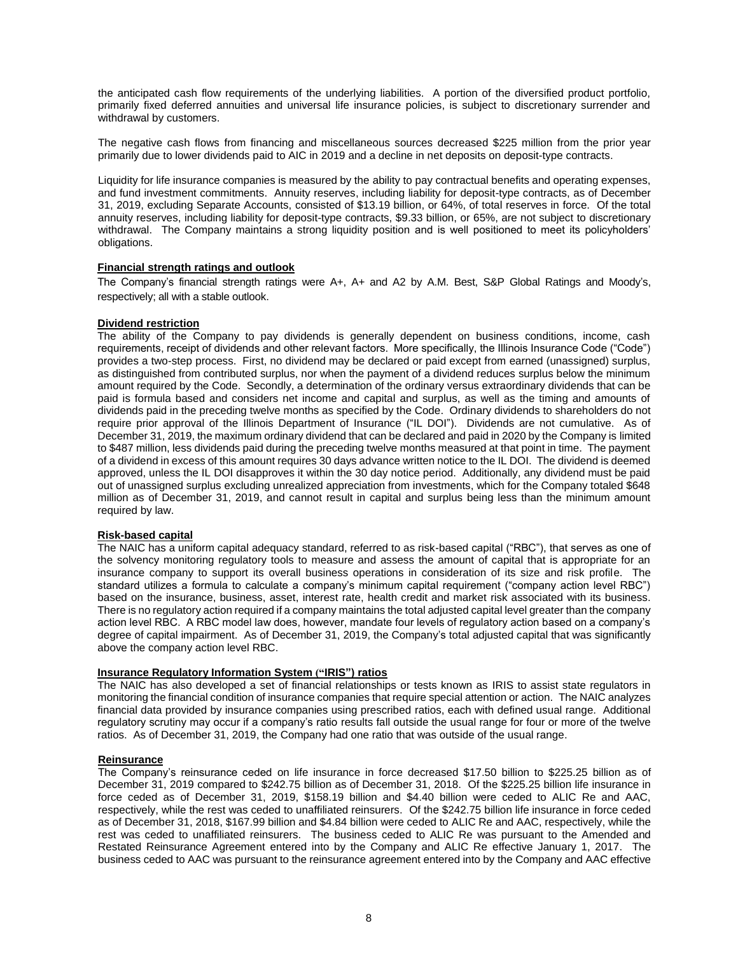the anticipated cash flow requirements of the underlying liabilities. A portion of the diversified product portfolio, primarily fixed deferred annuities and universal life insurance policies, is subject to discretionary surrender and withdrawal by customers.

The negative cash flows from financing and miscellaneous sources decreased \$225 million from the prior year primarily due to lower dividends paid to AIC in 2019 and a decline in net deposits on deposit-type contracts.

Liquidity for life insurance companies is measured by the ability to pay contractual benefits and operating expenses, and fund investment commitments. Annuity reserves, including liability for deposit-type contracts, as of December 31, 2019, excluding Separate Accounts, consisted of \$13.19 billion, or 64%, of total reserves in force. Of the total annuity reserves, including liability for deposit-type contracts, \$9.33 billion, or 65%, are not subject to discretionary withdrawal. The Company maintains a strong liquidity position and is well positioned to meet its policyholders' obligations.

## **Financial strength ratings and outlook**

The Company's financial strength ratings were A+, A+ and A2 by A.M. Best, S&P Global Ratings and Moody's, respectively; all with a stable outlook.

# **Dividend restriction**

The ability of the Company to pay dividends is generally dependent on business conditions, income, cash requirements, receipt of dividends and other relevant factors. More specifically, the Illinois Insurance Code ("Code") provides a two-step process. First, no dividend may be declared or paid except from earned (unassigned) surplus, as distinguished from contributed surplus, nor when the payment of a dividend reduces surplus below the minimum amount required by the Code. Secondly, a determination of the ordinary versus extraordinary dividends that can be paid is formula based and considers net income and capital and surplus, as well as the timing and amounts of dividends paid in the preceding twelve months as specified by the Code. Ordinary dividends to shareholders do not require prior approval of the Illinois Department of Insurance ("IL DOI"). Dividends are not cumulative. As of December 31, 2019, the maximum ordinary dividend that can be declared and paid in 2020 by the Company is limited to \$487 million, less dividends paid during the preceding twelve months measured at that point in time. The payment of a dividend in excess of this amount requires 30 days advance written notice to the IL DOI. The dividend is deemed approved, unless the IL DOI disapproves it within the 30 day notice period. Additionally, any dividend must be paid out of unassigned surplus excluding unrealized appreciation from investments, which for the Company totaled \$648 million as of December 31, 2019, and cannot result in capital and surplus being less than the minimum amount required by law.

# **Risk-based capital**

The NAIC has a uniform capital adequacy standard, referred to as risk-based capital ("RBC"), that serves as one of the solvency monitoring regulatory tools to measure and assess the amount of capital that is appropriate for an insurance company to support its overall business operations in consideration of its size and risk profile. The standard utilizes a formula to calculate a company's minimum capital requirement ("company action level RBC") based on the insurance, business, asset, interest rate, health credit and market risk associated with its business. There is no regulatory action required if a company maintains the total adjusted capital level greater than the company action level RBC. A RBC model law does, however, mandate four levels of regulatory action based on a company's degree of capital impairment. As of December 31, 2019, the Company's total adjusted capital that was significantly above the company action level RBC.

#### **Insurance Regulatory Information System ("IRIS") ratios**

The NAIC has also developed a set of financial relationships or tests known as IRIS to assist state regulators in monitoring the financial condition of insurance companies that require special attention or action. The NAIC analyzes financial data provided by insurance companies using prescribed ratios, each with defined usual range. Additional regulatory scrutiny may occur if a company's ratio results fall outside the usual range for four or more of the twelve ratios. As of December 31, 2019, the Company had one ratio that was outside of the usual range.

## **Reinsurance**

The Company's reinsurance ceded on life insurance in force decreased \$17.50 billion to \$225.25 billion as of December 31, 2019 compared to \$242.75 billion as of December 31, 2018. Of the \$225.25 billion life insurance in force ceded as of December 31, 2019, \$158.19 billion and \$4.40 billion were ceded to ALIC Re and AAC, respectively, while the rest was ceded to unaffiliated reinsurers. Of the \$242.75 billion life insurance in force ceded as of December 31, 2018, \$167.99 billion and \$4.84 billion were ceded to ALIC Re and AAC, respectively, while the rest was ceded to unaffiliated reinsurers. The business ceded to ALIC Re was pursuant to the Amended and Restated Reinsurance Agreement entered into by the Company and ALIC Re effective January 1, 2017. The business ceded to AAC was pursuant to the reinsurance agreement entered into by the Company and AAC effective